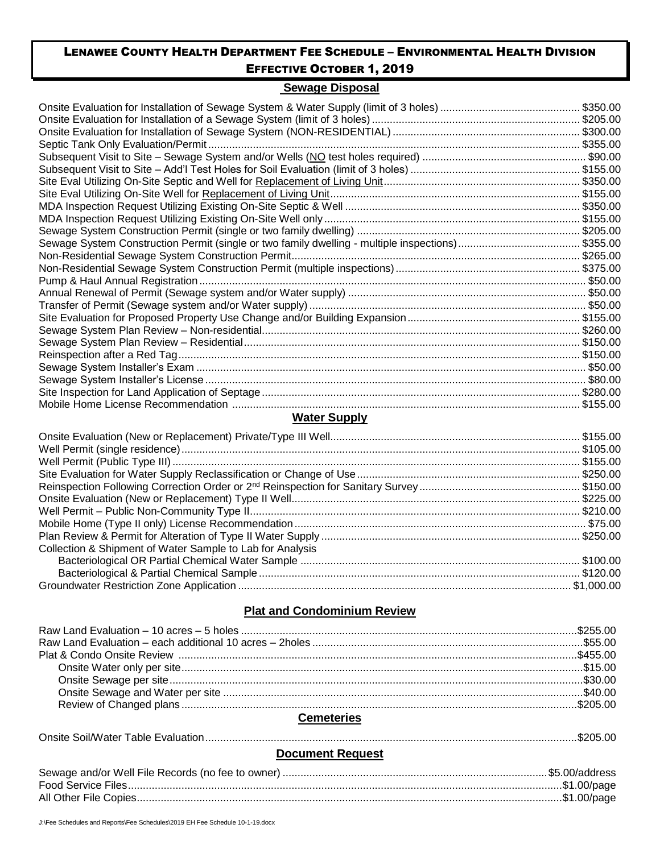### **Sewage Disposal**

| \$350.00 |
|----------|
| \$205.00 |
| \$300.00 |
| \$355.00 |
|          |
|          |
| \$350.00 |
|          |
|          |
|          |
|          |
|          |
|          |
|          |
|          |
|          |
|          |
|          |
|          |
|          |
|          |
|          |
|          |
|          |
|          |

# **Water Supply**

| Collection & Shipment of Water Sample to Lab for Analysis                                                                                                                                                                                            |  |
|------------------------------------------------------------------------------------------------------------------------------------------------------------------------------------------------------------------------------------------------------|--|
|                                                                                                                                                                                                                                                      |  |
|                                                                                                                                                                                                                                                      |  |
| 61,000.00 \$1,000.00 \$1,000.00 \$1,000.00 \$1,000.00 \$1,000.00 \$1,000.00 \$1,000.00 \$1,000.00 \$1,000.00 \$1,000.00 \$1,000.00 \$1,000.00 \$1,000.00 \$1,000.00 \$1,000.00 \$1,000.00 \$1,000.00 \$1,000.00 \$1,000.00 \$1,000.00 \$1,000.00 \$1 |  |

# **Plat and Condominium Review**

## **Cemeteries**

|--|--|

# **Document Request**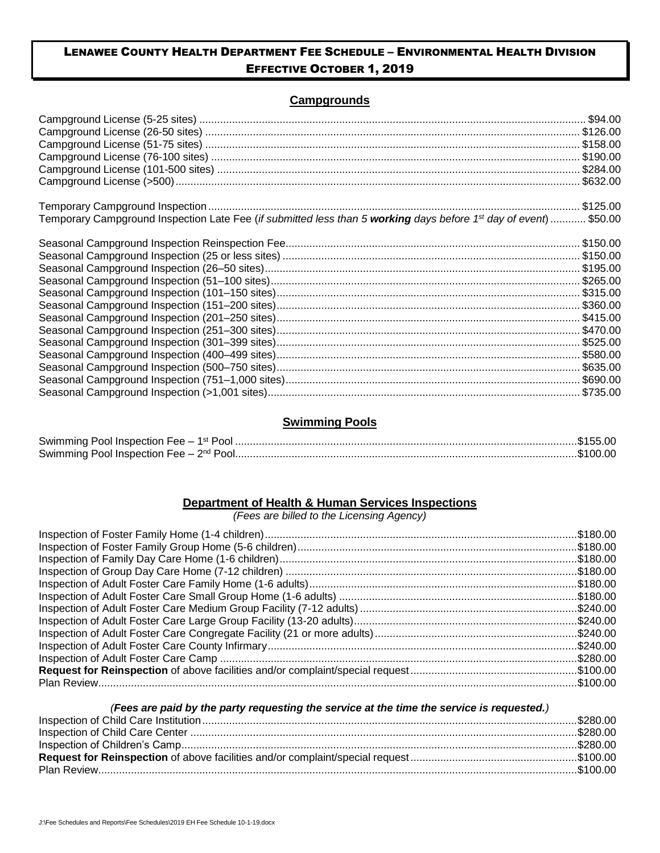# **Campgrounds**

| Temporary Campground Inspection Late Fee (if submitted less than 5 working days before 1 <sup>st</sup> day of event) \$50.00 |  |
|------------------------------------------------------------------------------------------------------------------------------|--|
|                                                                                                                              |  |
|                                                                                                                              |  |
|                                                                                                                              |  |
|                                                                                                                              |  |
|                                                                                                                              |  |
|                                                                                                                              |  |
|                                                                                                                              |  |
|                                                                                                                              |  |
|                                                                                                                              |  |
|                                                                                                                              |  |
|                                                                                                                              |  |
|                                                                                                                              |  |
|                                                                                                                              |  |
|                                                                                                                              |  |

## **Swimming Pools**

| Swimming Pool Inspection Fee $-1$ <sup>**</sup> |            |  |
|-------------------------------------------------|------------|--|
| Swimming Pool Inspection Fee $ \infty$          | <b>Ong</b> |  |

# **Department of Health & Human Services Inspections**

*(Fees are billed to the Licensing Agency)*

| Plan Review |  |
|-------------|--|

#### *(Fees are paid by the party requesting the service at the time the service is requested.)*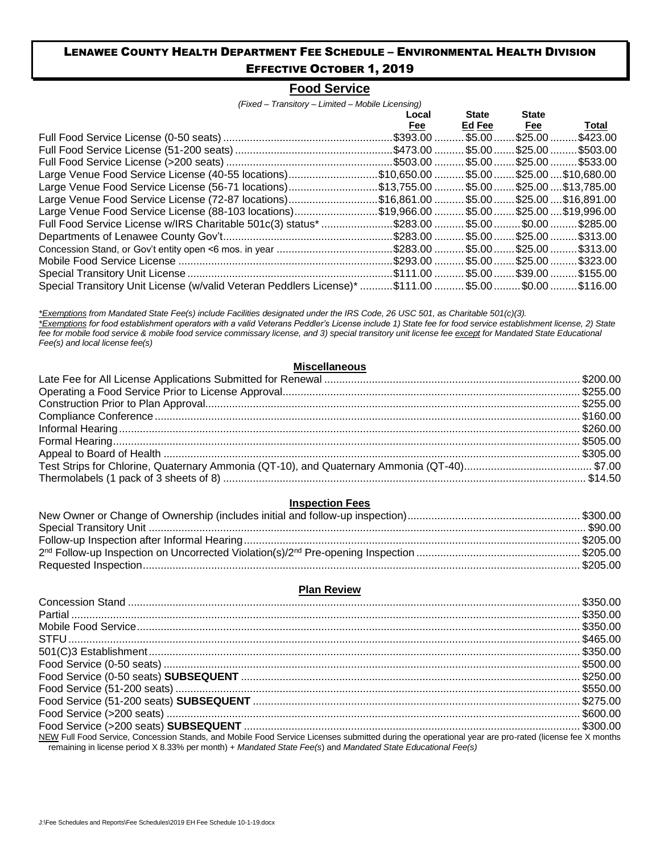# **Food Service**

*(Fixed – Transitory – Limited – Mobile Licensing)*

|                                                                                            | Local | <b>State</b> | <b>State</b>      |                             |
|--------------------------------------------------------------------------------------------|-------|--------------|-------------------|-----------------------------|
|                                                                                            | Fee   | Ed Fee       | <u>Fee</u>        | Total                       |
|                                                                                            |       |              | . \$5.00  \$25.00 | .\$423.00                   |
|                                                                                            |       |              |                   | . \$5.00  \$25.00  \$503.00 |
|                                                                                            |       |              |                   | . \$5.00  \$25.00  \$533.00 |
| Large Venue Food Service License (40-55 locations)\$10,650.00 \$5.00 \$25.00 \$10,680.00   |       |              |                   |                             |
| Large Venue Food Service License (56-71 locations)\$13,755.00 \$5.00 \$25.00 \$13,785.00   |       |              |                   |                             |
| Large Venue Food Service License (72-87 locations)\$16,861.00 \$5.00 \$25.00 \$16,891.00   |       |              |                   |                             |
| Large Venue Food Service License (88-103 locations)\$19,966.00 \$5.00 \$25.00 \$19,996.00  |       |              |                   |                             |
| Eull Food Service License w/IRS Charitable 501c(3) status* \$283.00 \$5.00 \$0.00 \$285.00 |       |              |                   |                             |
|                                                                                            |       |              |                   |                             |
|                                                                                            |       |              |                   |                             |
|                                                                                            |       |              |                   |                             |
|                                                                                            |       |              |                   |                             |
| Special Transitory Unit License (w/valid Veteran Peddlers License)* \$111.00 \$5.00 \$0.00 |       |              |                   | .\$116.00                   |

*\*Exemptions from Mandated State Fee(s) include Facilities designated under the IRS Code, 26 USC 501, as Charitable 501(c)(3). \*Exemptions for food establishment operators with a valid Veterans Peddler's License include 1) State fee for food service establishment license, 2) State fee for mobile food service & mobile food service commissary license, and 3) special transitory unit license fee except for Mandated State Educational Fee(s) and local license fee(s)*

#### **Miscellaneous**

### **Inspection Fees**

#### **Plan Review**

| NEW Full Food Service, Concession Stands, and Mobile Food Service Licenses submitted during the operational year are pro-rated (license fee X months<br>remaining in license period X 8.33% per month) + Mandated State Fee(s) and Mandated State Educational Fee(s) |  |
|----------------------------------------------------------------------------------------------------------------------------------------------------------------------------------------------------------------------------------------------------------------------|--|